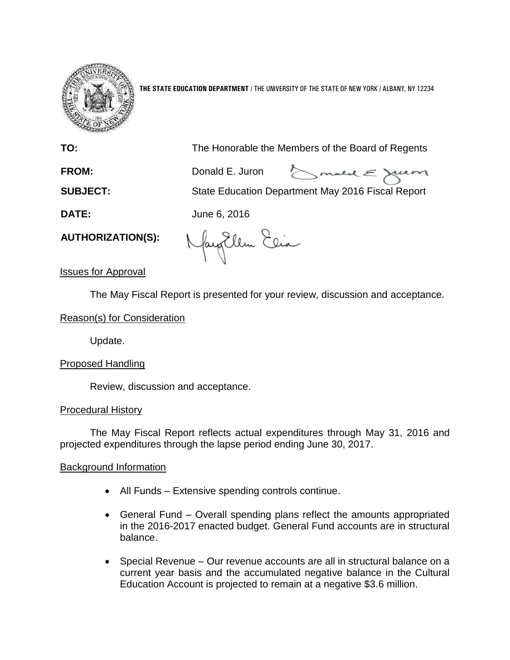

**THE STATE EDUCATION DEPARTMENT** / THE UNIVERSITY OF THE STATE OF NEW YORK / ALBANY, NY 12234

**TO:** The Honorable the Members of the Board of Regents

**FROM:** Donald E. Juron

Smald E Juin

**SUBJECT:** State Education Department May 2016 Fiscal Report

**DATE:** June 6, 2016

**AUTHORIZATION(S):**

NayoUllen Elia

Issues for Approval

The May Fiscal Report is presented for your review, discussion and acceptance.

Reason(s) for Consideration

Update.

# Proposed Handling

Review, discussion and acceptance.

## Procedural History

The May Fiscal Report reflects actual expenditures through May 31, 2016 and projected expenditures through the lapse period ending June 30, 2017.

# Background Information

- All Funds Extensive spending controls continue.
- General Fund Overall spending plans reflect the amounts appropriated in the 2016-2017 enacted budget. General Fund accounts are in structural balance.
- Special Revenue Our revenue accounts are all in structural balance on a current year basis and the accumulated negative balance in the Cultural Education Account is projected to remain at a negative \$3.6 million.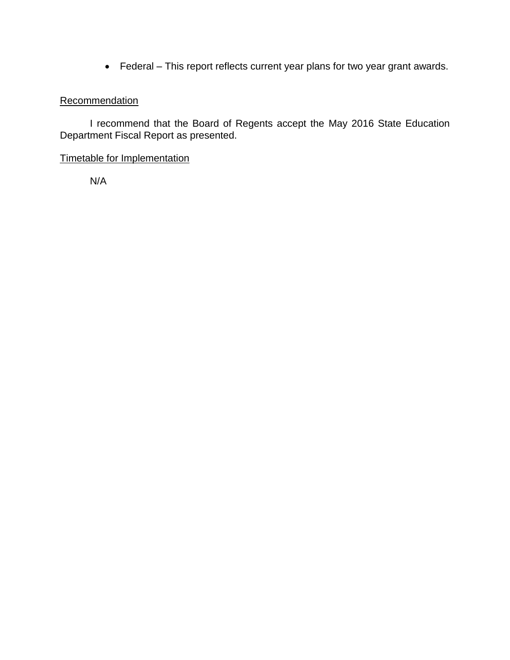Federal – This report reflects current year plans for two year grant awards.

## **Recommendation**

I recommend that the Board of Regents accept the May 2016 State Education Department Fiscal Report as presented.

## Timetable for Implementation

N/A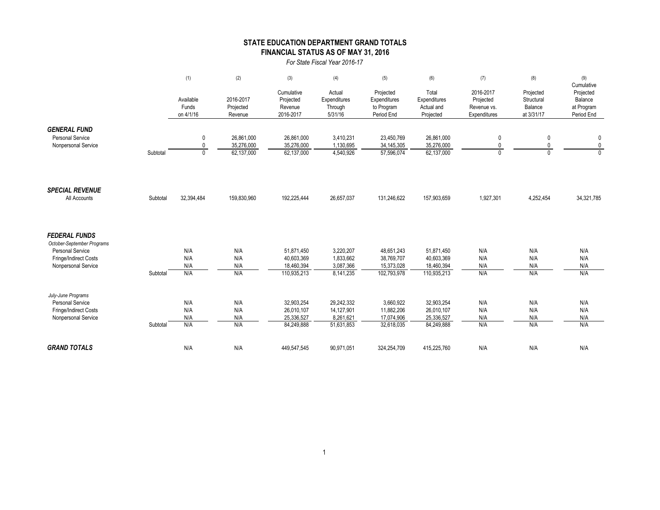### **STATE EDUCATION DEPARTMENT GRAND TOTALS FINANCIAL STATUS AS OF MAY 31, 2016**

*For State Fiscal Year 2016-17*

|                                                  |          | (1)                             | (2)                               | (3)                                             | (4)                                          | (5)                                                   | (6)                                              | (7)                                                   | (8)                                              | (9)                                                            |
|--------------------------------------------------|----------|---------------------------------|-----------------------------------|-------------------------------------------------|----------------------------------------------|-------------------------------------------------------|--------------------------------------------------|-------------------------------------------------------|--------------------------------------------------|----------------------------------------------------------------|
|                                                  |          | Available<br>Funds<br>on 4/1/16 | 2016-2017<br>Projected<br>Revenue | Cumulative<br>Projected<br>Revenue<br>2016-2017 | Actual<br>Expenditures<br>Through<br>5/31/16 | Projected<br>Expenditures<br>to Program<br>Period End | Total<br>Expenditures<br>Actual and<br>Projected | 2016-2017<br>Projected<br>Revenue vs.<br>Expenditures | Projected<br>Structural<br>Balance<br>at 3/31/17 | Cumulative<br>Projected<br>Balance<br>at Program<br>Period End |
| <b>GENERAL FUND</b>                              |          |                                 |                                   |                                                 |                                              |                                                       |                                                  |                                                       |                                                  |                                                                |
| <b>Personal Service</b><br>Nonpersonal Service   |          | 0<br>$\mathbf{0}$               | 26,861,000<br>35,276,000          | 26,861,000<br>35,276,000                        | 3,410,231<br>1,130,695                       | 23,450,769<br>34,145,305                              | 26,861,000<br>35,276,000                         | 0<br>0                                                | 0<br>0                                           | 0<br>$\pmb{0}$                                                 |
|                                                  | Subtotal | $\mathbf{0}$                    | 62,137,000                        | 62,137,000                                      | 4,540,926                                    | 57,596,074                                            | 62,137,000                                       | $\Omega$                                              | $\Omega$                                         | $\Omega$                                                       |
| <b>SPECIAL REVENUE</b>                           |          |                                 |                                   |                                                 |                                              |                                                       |                                                  |                                                       |                                                  |                                                                |
| All Accounts                                     | Subtotal | 32,394,484                      | 159,830,960                       | 192,225,444                                     | 26.657.037                                   | 131.246.622                                           | 157,903,659                                      | 1,927,301                                             | 4,252,454                                        | 34,321,785                                                     |
| <b>FEDERAL FUNDS</b>                             |          |                                 |                                   |                                                 |                                              |                                                       |                                                  |                                                       |                                                  |                                                                |
| October-September Programs                       |          |                                 |                                   |                                                 |                                              |                                                       |                                                  |                                                       |                                                  |                                                                |
| <b>Personal Service</b><br>Fringe/Indirect Costs |          | N/A<br>N/A                      | N/A<br>N/A                        | 51,871,450<br>40,603,369                        | 3,220,207<br>1,833,662                       | 48,651,243<br>38,769,707                              | 51,871,450<br>40,603,369                         | N/A<br>N/A                                            | N/A<br>N/A                                       | N/A<br>N/A                                                     |
| Nonpersonal Service                              |          | N/A                             | N/A                               | 18,460,394                                      | 3,087,366                                    | 15,373,028                                            | 18,460,394                                       | N/A                                                   | N/A                                              | N/A                                                            |
|                                                  | Subtotal | N/A                             | N/A                               | 110,935,213                                     | 8,141,235                                    | 102,793,978                                           | 110,935,213                                      | N/A                                                   | N/A                                              | N/A                                                            |
| July-June Programs                               |          |                                 |                                   |                                                 |                                              |                                                       |                                                  |                                                       |                                                  |                                                                |
| <b>Personal Service</b>                          |          | N/A                             | N/A                               | 32,903,254                                      | 29,242,332                                   | 3,660,922                                             | 32,903,254                                       | N/A                                                   | N/A                                              | N/A                                                            |
| Fringe/Indirect Costs<br>Nonpersonal Service     |          | N/A<br>N/A                      | N/A<br>N/A                        | 26,010,107<br>25,336,527                        | 14,127,901<br>8,261,621                      | 11,882,206<br>17,074,906                              | 26,010,107<br>25,336,527                         | N/A<br>N/A                                            | N/A<br>N/A                                       | N/A<br>N/A                                                     |
|                                                  | Subtotal | N/A                             | N/A                               | 84,249,888                                      | 51,631,853                                   | 32,618,035                                            | 84,249,888                                       | N/A                                                   | N/A                                              | N/A                                                            |
| <b>GRAND TOTALS</b>                              |          | N/A                             | N/A                               | 449,547,545                                     | 90,971,051                                   | 324,254,709                                           | 415,225,760                                      | N/A                                                   | N/A                                              | N/A                                                            |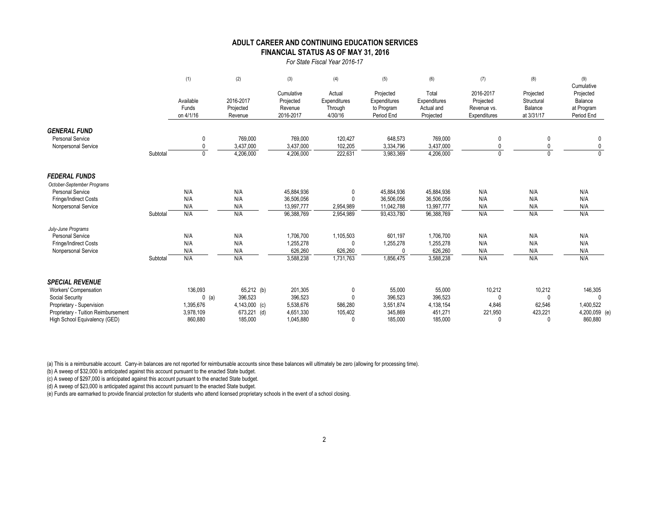#### **FINANCIAL STATUS AS OF MAY 31, 2016 ADULT CAREER AND CONTINUING EDUCATION SERVICES**

*For State Fiscal Year 2016-17*

|                                     |          | (1)                             | (2)                               | (3)                                             | (4)                                          | (5)                                                   | (6)                                              | (7)                                                   | (8)                                              | (9)<br>Cumulative                                |
|-------------------------------------|----------|---------------------------------|-----------------------------------|-------------------------------------------------|----------------------------------------------|-------------------------------------------------------|--------------------------------------------------|-------------------------------------------------------|--------------------------------------------------|--------------------------------------------------|
|                                     |          | Available<br>Funds<br>on 4/1/16 | 2016-2017<br>Projected<br>Revenue | Cumulative<br>Projected<br>Revenue<br>2016-2017 | Actual<br>Expenditures<br>Through<br>4/30/16 | Projected<br>Expenditures<br>to Program<br>Period End | Total<br>Expenditures<br>Actual and<br>Projected | 2016-2017<br>Projected<br>Revenue vs.<br>Expenditures | Projected<br>Structural<br>Balance<br>at 3/31/17 | Projected<br>Balance<br>at Program<br>Period End |
| <b>GENERAL FUND</b>                 |          |                                 |                                   |                                                 |                                              |                                                       |                                                  |                                                       |                                                  |                                                  |
| <b>Personal Service</b>             |          | $\mathbf{0}$                    | 769,000                           | 769,000                                         | 120,427                                      | 648,573                                               | 769,000                                          | 0                                                     |                                                  | 0                                                |
| Nonpersonal Service                 |          | $\mathbf{0}$                    | 3,437,000                         | 3,437,000                                       | 102,205                                      | 3,334,796                                             | 3,437,000                                        | $\mathbf{0}$                                          |                                                  | 0                                                |
|                                     | Subtotal | $\mathbf{0}$                    | 4,206,000                         | 4,206,000                                       | 222,631                                      | 3,983,369                                             | 4,206,000                                        | $\mathbf 0$                                           | $\Omega$                                         | $\overline{0}$                                   |
| <b>FEDERAL FUNDS</b>                |          |                                 |                                   |                                                 |                                              |                                                       |                                                  |                                                       |                                                  |                                                  |
| October-September Programs          |          |                                 |                                   |                                                 |                                              |                                                       |                                                  |                                                       |                                                  |                                                  |
| Personal Service                    |          | N/A                             | N/A                               | 45,884,936                                      | $\Omega$                                     | 45,884,936                                            | 45,884,936                                       | N/A                                                   | N/A                                              | N/A                                              |
| Fringe/Indirect Costs               |          | N/A                             | N/A                               | 36,506,056                                      |                                              | 36,506,056                                            | 36,506,056                                       | N/A                                                   | N/A                                              | N/A                                              |
| Nonpersonal Service                 |          | N/A                             | N/A                               | 13,997,777                                      | 2,954,989                                    | 11,042,788                                            | 13,997,777                                       | N/A                                                   | N/A                                              | N/A                                              |
|                                     | Subtotal | N/A                             | N/A                               | 96,388,769                                      | 2,954,989                                    | 93,433,780                                            | 96,388,769                                       | N/A                                                   | N/A                                              | N/A                                              |
| July-June Programs                  |          |                                 |                                   |                                                 |                                              |                                                       |                                                  |                                                       |                                                  |                                                  |
| <b>Personal Service</b>             |          | N/A                             | N/A                               | 1,706,700                                       | 1,105,503                                    | 601,197                                               | 1,706,700                                        | N/A                                                   | N/A                                              | N/A                                              |
| Fringe/Indirect Costs               |          | N/A                             | N/A                               | 1,255,278                                       | $\Omega$                                     | 1,255,278                                             | 1,255,278                                        | N/A                                                   | N/A                                              | N/A                                              |
| Nonpersonal Service                 |          | N/A                             | N/A                               | 626,260                                         | 626,260                                      | 0                                                     | 626,260                                          | N/A                                                   | N/A                                              | N/A                                              |
|                                     | Subtotal | N/A                             | N/A                               | 3,588,238                                       | 1,731,763                                    | 1,856,475                                             | 3,588,238                                        | N/A                                                   | N/A                                              | N/A                                              |
| <b>SPECIAL REVENUE</b>              |          |                                 |                                   |                                                 |                                              |                                                       |                                                  |                                                       |                                                  |                                                  |
| Workers' Compensation               |          | 136,093                         | 65,212 (b)                        | 201,305                                         | 0                                            | 55,000                                                | 55,000                                           | 10,212                                                | 10,212                                           | 146,305                                          |
| Social Security                     |          | $0$ (a)                         | 396,523                           | 396,523                                         | $\theta$                                     | 396,523                                               | 396,523                                          | $\Omega$                                              | $\Omega$                                         |                                                  |
| Proprietary - Supervision           |          | 1,395,676                       | 4,143,000 (c)                     | 5,538,676                                       | 586,280                                      | 3,551,874                                             | 4,138,154                                        | 4,846                                                 | 62,546                                           | 1,400,522                                        |
| Proprietary - Tuition Reimbursement |          | 3,978,109                       | 673,221 (d)                       | 4,651,330                                       | 105,402                                      | 345,869                                               | 451,271                                          | 221,950                                               | 423,221                                          | 4,200,059 (e)                                    |
| High School Equivalency (GED)       |          | 860,880                         | 185,000                           | 1,045,880                                       |                                              | 185.000                                               | 185.000                                          | $\Omega$                                              | $\cup$                                           | 860,880                                          |

(a) This is a reimbursable account. Carry-in balances are not reported for reimbursable accounts since these balances will ultimately be zero (allowing for processing time).

(b) A sweep of \$32,000 is anticipated against this account pursuant to the enacted State budget.

(c) A sweep of \$297,000 is anticipated against this account pursuant to the enacted State budget.

(d) A sweep of \$23,000 is anticipated against this account pursuant to the enacted State budget.

(e) Funds are earmarked to provide financial protection for students who attend licensed proprietary schools in the event of a school closing.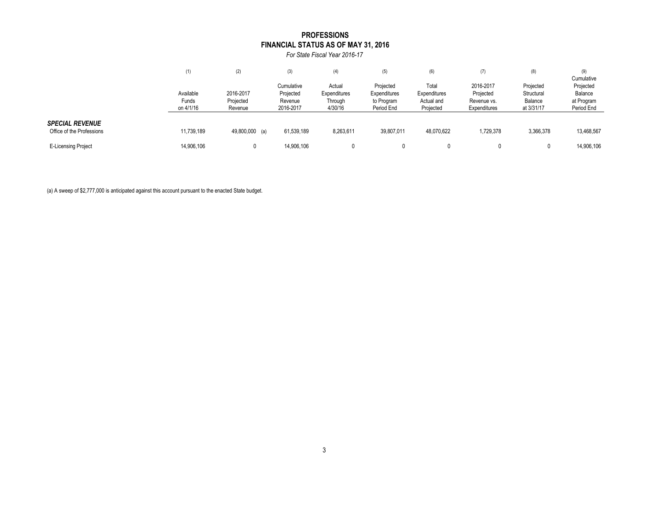### **FINANCIAL STATUS AS OF MAY 31, 2016 PROFESSIONS**

*For State Fiscal Year 2016-17*

|                                                     | (1)                | (2)                  | (3)                     | (4)                    | (5)                       | (6)                     | (7)                         | (8)                     | (9)<br>Cumulative        |
|-----------------------------------------------------|--------------------|----------------------|-------------------------|------------------------|---------------------------|-------------------------|-----------------------------|-------------------------|--------------------------|
|                                                     | Available          | 2016-2017            | Cumulative<br>Projected | Actual<br>Expenditures | Projected<br>Expenditures | Total<br>Expenditures   | 2016-2017<br>Projected      | Projected<br>Structural | Projected<br>Balance     |
|                                                     | Funds<br>on 4/1/16 | Projected<br>Revenue | Revenue<br>2016-2017    | Through<br>4/30/16     | to Program<br>Period End  | Actual and<br>Projected | Revenue vs.<br>Expenditures | Balance<br>at 3/31/17   | at Program<br>Period End |
| <b>SPECIAL REVENUE</b><br>Office of the Professions | 11,739,189         | 49,800,000 (a)       | 61,539,189              | 8,263,611              | 39,807,011                | 48,070,622              | 1,729,378                   | 3,366,378               | 13,468,567               |
| <b>E-Licensing Project</b>                          | 14,906,106         |                      | 14,906,106              |                        |                           |                         |                             |                         | 14,906,106               |

(a) A sweep of \$2,777,000 is anticipated against this account pursuant to the enacted State budget.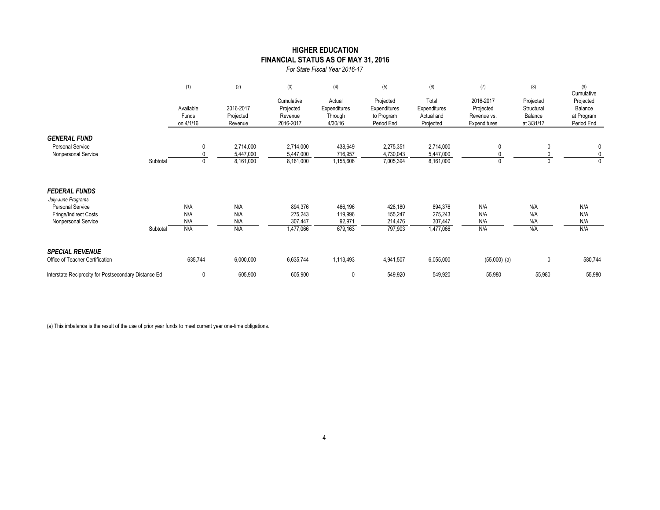### **FINANCIAL STATUS AS OF MAY 31, 2016 HIGHER EDUCATION**

*For State Fiscal Year 2016-17*

|                                                                                                                       |          | (1)                             | (2)                                 | (3)                                             | (4)                                          | (5)                                                   | (6)                                              | (7)                                                   | (8)                                              | (9)<br>Cumulative                                |
|-----------------------------------------------------------------------------------------------------------------------|----------|---------------------------------|-------------------------------------|-------------------------------------------------|----------------------------------------------|-------------------------------------------------------|--------------------------------------------------|-------------------------------------------------------|--------------------------------------------------|--------------------------------------------------|
|                                                                                                                       |          | Available<br>Funds<br>on 4/1/16 | 2016-2017<br>Projected<br>Revenue   | Cumulative<br>Projected<br>Revenue<br>2016-2017 | Actual<br>Expenditures<br>Through<br>4/30/16 | Projected<br>Expenditures<br>to Program<br>Period End | Total<br>Expenditures<br>Actual and<br>Projected | 2016-2017<br>Projected<br>Revenue vs.<br>Expenditures | Projected<br>Structural<br>Balance<br>at 3/31/17 | Projected<br>Balance<br>at Program<br>Period End |
| <b>GENERAL FUND</b><br><b>Personal Service</b><br>Nonpersonal Service                                                 | Subtotal | $\mathbf{0}$                    | 2,714,000<br>5,447,000<br>8,161,000 | 2,714,000<br>5,447,000<br>8,161,000             | 438,649<br>716,957<br>1,155,606              | 2,275,351<br>4,730,043<br>7,005,394                   | 2,714,000<br>5,447,000<br>8,161,000              | 0<br>0                                                |                                                  | 0<br>0<br>$\mathbf{0}$                           |
| <b>FEDERAL FUNDS</b><br>July-June Programs<br><b>Personal Service</b><br>Fringe/Indirect Costs<br>Nonpersonal Service | Subtotal | N/A<br>N/A<br>N/A<br>N/A        | N/A<br>N/A<br>N/A<br>N/A            | 894,376<br>275,243<br>307,447<br>1,477,066      | 466,196<br>119,996<br>92,971<br>679,163      | 428,180<br>155,247<br>214,476<br>797,903              | 894,376<br>275,243<br>307,447<br>1,477,066       | N/A<br>N/A<br>N/A<br>N/A                              | N/A<br>N/A<br>N/A<br>N/A                         | N/A<br>N/A<br>N/A<br>N/A                         |
| <b>SPECIAL REVENUE</b><br>Office of Teacher Certification                                                             |          | 635,744                         | 6,000,000                           | 6,635,744                                       | 1,113,493                                    | 4,941,507                                             | 6,055,000                                        | $(55,000)$ (a)                                        | 0                                                | 580,744                                          |
| Interstate Reciprocity for Postsecondary Distance Ed                                                                  |          | 0                               | 605,900                             | 605,900                                         | $\mathbf{0}$                                 | 549,920                                               | 549,920                                          | 55,980                                                | 55,980                                           | 55,980                                           |

(a) This imbalance is the result of the use of prior year funds to meet current year one-time obligations.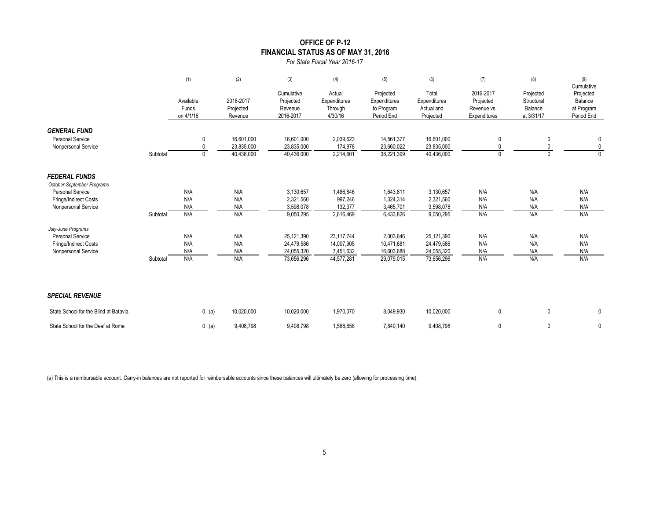### **OFFICE OF P-12 FINANCIAL STATUS AS OF MAY 31, 2016**

*For State Fiscal Year 2016-17*

|                                                    |          | (1)                             | (2)                               | (3)                                             | (4)                                          | (5)                                                   | (6)                                              | (7)                                                   | (8)                                              | (9)<br>Cumulative                                |
|----------------------------------------------------|----------|---------------------------------|-----------------------------------|-------------------------------------------------|----------------------------------------------|-------------------------------------------------------|--------------------------------------------------|-------------------------------------------------------|--------------------------------------------------|--------------------------------------------------|
|                                                    |          | Available<br>Funds<br>on 4/1/16 | 2016-2017<br>Projected<br>Revenue | Cumulative<br>Projected<br>Revenue<br>2016-2017 | Actual<br>Expenditures<br>Through<br>4/30/16 | Projected<br>Expenditures<br>to Program<br>Period End | Total<br>Expenditures<br>Actual and<br>Projected | 2016-2017<br>Projected<br>Revenue vs.<br>Expenditures | Projected<br>Structural<br>Balance<br>at 3/31/17 | Projected<br>Balance<br>at Program<br>Period End |
| <b>GENERAL FUND</b>                                |          |                                 |                                   |                                                 |                                              |                                                       |                                                  |                                                       |                                                  |                                                  |
| <b>Personal Service</b><br>Nonpersonal Service     |          | 0<br>$\Omega$                   | 16,601,000<br>23.835.000          | 16,601,000<br>23,835,000                        | 2,039,623<br>174,978                         | 14,561,377<br>23,660,022                              | 16,601,000<br>23,835,000                         | 0<br>0                                                | 0                                                | 0<br>0                                           |
|                                                    | Subtotal | $\mathbf{0}$                    | 40,436,000                        | 40,436,000                                      | 2,214,601                                    | 38,221,399                                            | 40,436,000                                       | $\mathbf{0}$                                          |                                                  | $\Omega$                                         |
| <b>FEDERAL FUNDS</b><br>October-September Programs |          |                                 |                                   |                                                 |                                              |                                                       |                                                  |                                                       |                                                  |                                                  |
| <b>Personal Service</b>                            |          | N/A                             | N/A                               | 3,130,657                                       | 1,486,846                                    | 1,643,811                                             | 3,130,657                                        | N/A                                                   | N/A                                              | N/A                                              |
| Fringe/Indirect Costs                              |          | N/A                             | N/A                               | 2,321,560                                       | 997,246                                      | 1,324,314                                             | 2,321,560                                        | N/A                                                   | N/A                                              | N/A                                              |
| Nonpersonal Service                                |          | N/A                             | N/A                               | 3,598,078                                       | 132,377                                      | 3,465,701                                             | 3,598,078                                        | N/A                                                   | N/A                                              | N/A                                              |
|                                                    | Subtotal | N/A                             | N/A                               | 9,050,295                                       | 2,616,469                                    | 6,433,826                                             | 9,050,295                                        | N/A                                                   | N/A                                              | N/A                                              |
| July-June Programs                                 |          |                                 |                                   |                                                 |                                              |                                                       |                                                  |                                                       |                                                  |                                                  |
| Personal Service                                   |          | N/A                             | N/A                               | 25,121,390                                      | 23,117,744                                   | 2,003,646                                             | 25,121,390                                       | N/A                                                   | N/A                                              | N/A                                              |
| Fringe/Indirect Costs                              |          | N/A<br>N/A                      | N/A<br>N/A                        | 24,479,586<br>24,055,320                        | 14,007,905<br>7,451,632                      | 10,471,681<br>16,603,688                              | 24,479,586<br>24,055,320                         | N/A<br>N/A                                            | N/A                                              | N/A<br>N/A                                       |
| Nonpersonal Service                                | Subtotal | N/A                             | N/A                               | 73,656,296                                      | 44,577,281                                   | 29,079,015                                            | 73,656,296                                       | N/A                                                   | N/A<br>N/A                                       | N/A                                              |
|                                                    |          |                                 |                                   |                                                 |                                              |                                                       |                                                  |                                                       |                                                  |                                                  |
| <b>SPECIAL REVENUE</b>                             |          |                                 |                                   |                                                 |                                              |                                                       |                                                  |                                                       |                                                  |                                                  |
| State School for the Blind at Batavia              |          | $0$ (a)                         | 10,020,000                        | 10,020,000                                      | 1,970,070                                    | 8,049,930                                             | 10,020,000                                       | 0                                                     | 0                                                | $\mathbf 0$                                      |
| State School for the Deaf at Rome                  |          | $0$ (a)                         | 9,408,798                         | 9,408,798                                       | 1,568,658                                    | 7,840,140                                             | 9,408,798                                        | 0                                                     | 0                                                | $\mathbf 0$                                      |

(a) This is a reimbursable account. Carry-in balances are not reported for reimbursable accounts since these balances will ultimately be zero (allowing for processing time).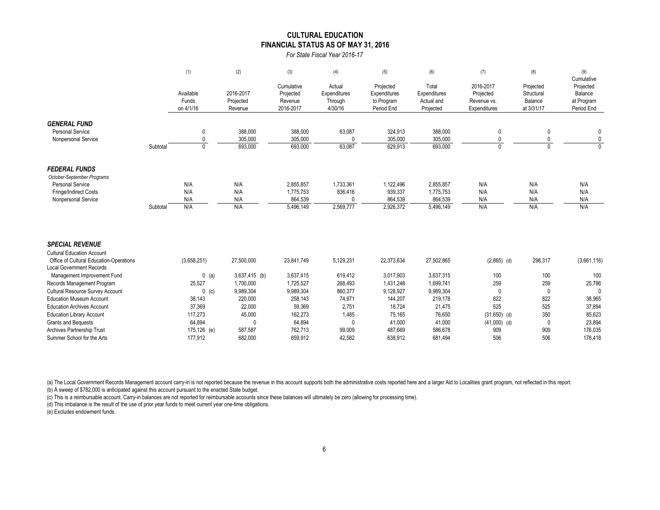#### **CULTURAL EDUCATION FINANCIAL STATUS AS OF MAY 31, 2016**

*For State Fiscal Year 2016-17*

|                                                                            |          | (1)                             | (2)                               | (3)                                             | (4)                                          | (5)                                                   | (6)                                              | (7)                                                   | (8)                                              | (9)                                                            |
|----------------------------------------------------------------------------|----------|---------------------------------|-----------------------------------|-------------------------------------------------|----------------------------------------------|-------------------------------------------------------|--------------------------------------------------|-------------------------------------------------------|--------------------------------------------------|----------------------------------------------------------------|
|                                                                            |          | Available<br>Funds<br>on 4/1/16 | 2016-2017<br>Projected<br>Revenue | Cumulative<br>Projected<br>Revenue<br>2016-2017 | Actual<br>Expenditures<br>Through<br>4/30/16 | Projected<br>Expenditures<br>to Program<br>Period End | Total<br>Expenditures<br>Actual and<br>Projected | 2016-2017<br>Projected<br>Revenue vs.<br>Expenditures | Projected<br>Structural<br>Balance<br>at 3/31/17 | Cumulative<br>Projected<br>Balance<br>at Program<br>Period End |
| <b>GENERAL FUND</b>                                                        |          |                                 |                                   |                                                 |                                              |                                                       |                                                  |                                                       |                                                  |                                                                |
| <b>Personal Service</b>                                                    |          | 0                               | 388,000                           | 388,000                                         | 63,087                                       | 324,913                                               | 388,000                                          | 0                                                     | 0                                                | 0                                                              |
| Nonpersonal Service                                                        |          | 0                               | 305,000                           | 305,000                                         | $\Omega$                                     | 305,000                                               | 305,000                                          |                                                       |                                                  | 0                                                              |
|                                                                            | Subtotal | $\mathbf{0}$                    | 693,000                           | 693,000                                         | 63,087                                       | 629,913                                               | 693,000                                          | $\Omega$                                              | $\overline{0}$                                   | $\Omega$                                                       |
| <b>FEDERAL FUNDS</b>                                                       |          |                                 |                                   |                                                 |                                              |                                                       |                                                  |                                                       |                                                  |                                                                |
| October-September Programs                                                 |          |                                 |                                   |                                                 |                                              |                                                       |                                                  |                                                       |                                                  |                                                                |
| Personal Service                                                           |          | N/A                             | N/A                               | 2,855,857                                       | 1,733,361                                    | 1,122,496                                             | 2,855,857                                        | N/A                                                   | N/A                                              | N/A                                                            |
| Fringe/Indirect Costs                                                      |          | N/A                             | N/A                               | 1,775,753                                       | 836,416                                      | 939,337                                               | 1,775,753                                        | N/A                                                   | N/A                                              | N/A                                                            |
| Nonpersonal Service                                                        |          | N/A                             | N/A                               | 864.539                                         | 0                                            | 864,539                                               | 864,539                                          | N/A                                                   | N/A                                              | N/A                                                            |
|                                                                            | Subtotal | N/A                             | N/A                               | 5,496,149                                       | 2,569,777                                    | 2,926,372                                             | 5,496,149                                        | N/A                                                   | N/A                                              | N/A                                                            |
| <b>SPECIAL REVENUE</b>                                                     |          |                                 |                                   |                                                 |                                              |                                                       |                                                  |                                                       |                                                  |                                                                |
| <b>Cultural Education Account</b>                                          |          |                                 |                                   |                                                 |                                              |                                                       |                                                  |                                                       |                                                  |                                                                |
| Office of Cultural Education-Operations<br><b>Local Government Records</b> |          | (3,658,251)                     | 27,500,000                        | 23,841,749                                      | 5,129,231                                    | 22,373,634                                            | 27,502,865                                       | $(2,865)$ (d)                                         | 298,317                                          | (3,661,116)                                                    |
| Management Improvement Fund                                                |          | $0$ (a)                         | $3,637,415$ (b)                   | 3,637,415                                       | 619,412                                      | 3,017,903                                             | 3,637,315                                        | 100                                                   | 100                                              | 100                                                            |
| Records Management Program                                                 |          | 25,527                          | 1,700,000                         | 1,725,527                                       | 268,493                                      | 1,431,248                                             | 1,699,741                                        | 259                                                   | 259                                              | 25,786                                                         |
| <b>Cultural Resource Survey Account</b>                                    |          | $0$ (c)                         | 9,989,304                         | 9,989,304                                       | 860,377                                      | 9,128,927                                             | 9,989,304                                        | $\mathbf{0}$                                          | $\mathbf 0$                                      | $\mathbf{0}$                                                   |
| <b>Education Museum Account</b>                                            |          | 38,143                          | 220,000                           | 258,143                                         | 74,971                                       | 144,207                                               | 219,178                                          | 822                                                   | 822                                              | 38,965                                                         |
| <b>Education Archives Account</b>                                          |          | 37,369                          | 22,000                            | 59,369                                          | 2,751                                        | 18,724                                                | 21,475                                           | 525                                                   | 525                                              | 37,894                                                         |
| <b>Education Library Account</b>                                           |          | 117,273                         | 45,000                            | 162,273                                         | 1,485                                        | 75,165                                                | 76,650                                           | $(31,650)$ (d)                                        | 350                                              | 85,623                                                         |
| <b>Grants and Bequests</b>                                                 |          | 64,894                          | 0                                 | 64,894                                          | 0                                            | 41,000                                                | 41,000                                           | $(41,000)$ (d)                                        | 0                                                | 23,894                                                         |
| Archives Partnership Trust                                                 |          | 175,126 (e)                     | 587,587                           | 762,713                                         | 99.009                                       | 487.669                                               | 586,678                                          | 909                                                   | 909                                              | 176,035                                                        |

(a) The Local Government Records Management account carry-in is not reported because the revenue in this account supports both the administrative costs reported here and a larger Aid to Localities grant program, not reflec (b) A sweep of \$782,000 is anticipated against this account pursuant to the enacted State budget.

(c) This is a reimbursable account. Carry-in balances are not reported for reimbursable accounts since these balances will ultimately be zero (allowing for processing time).

(d) This imbalance is the result of the use of prior year funds to meet current year one-time obligations.

(e) Excludes endowment funds.

Summer School for the Arts 177,912 682,000 859,912 42,582 638,912 681,494 506 506 506 178,418